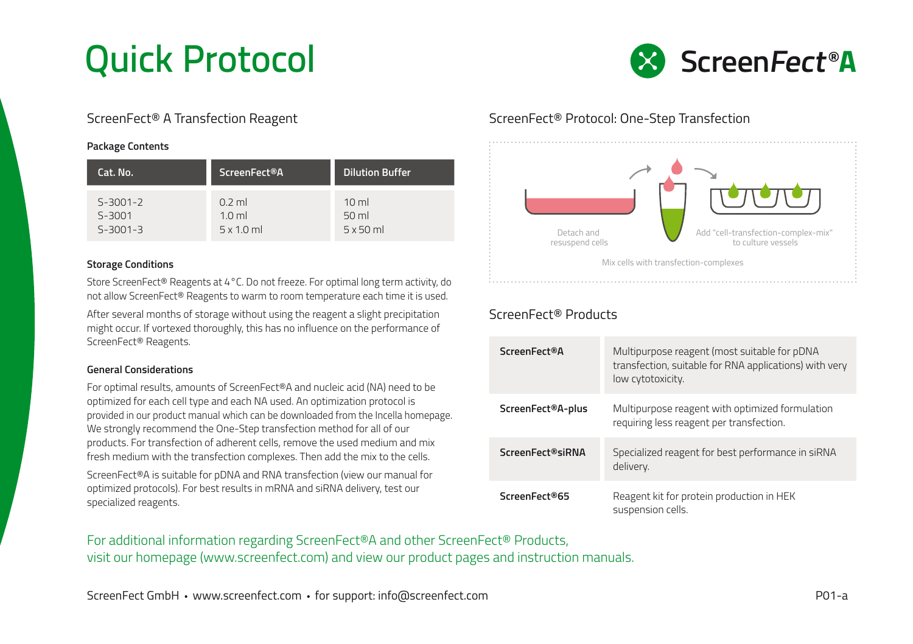

### **Package Contents**

| Cat. No.       | ScreenFect <sup>®</sup> A | <b>Dilution Buffer</b> |
|----------------|---------------------------|------------------------|
| $5 - 3001 - 2$ | $0.2$ ml                  | 10 <sub>m</sub>        |
| $S-3001$       | $1.0$ ml                  | $50$ ml                |
| $5 - 3001 - 3$ | $5 \times 1.0$ ml         | $5x50$ ml              |

## **Storage Conditions**

Store ScreenFect® Reagents at 4°C. Do not freeze. For optimal long term activity, do not allow ScreenFect® Reagents to warm to room temperature each time it is used.

After several months of storage without using the reagent a slight precipitation might occur. If vortexed thoroughly, this has no influence on the performance of ScreenFect® Reagents.

## **General Considerations**

For optimal results, amounts of ScreenFect®A and nucleic acid (NA) need to be optimized for each cell type and each NA used. An optimization protocol is provided in our product manual which can be downloaded from the Incella homepage. We strongly recommend the One-Step transfection method for all of our products. For transfection of adherent cells, remove the used medium and mix fresh medium with the transfection complexes. Then add the mix to the cells. ScreenFect®A is suitable for pDNA and RNA transfection (view our manual for

optimized protocols). For best results in mRNA and siRNA delivery, test our specialized reagents.

# ScreenFect® A Transfection Reagent ScreenFect® Protocol: One-Step Transfection



# ScreenFect® Products

| <b>ScreenFect®A</b> | Multipurpose reagent (most suitable for pDNA<br>transfection, suitable for RNA applications) with very<br>low cytotoxicity. |
|---------------------|-----------------------------------------------------------------------------------------------------------------------------|
| ScreenFect®A-plus   | Multipurpose reagent with optimized formulation<br>requiring less reagent per transfection.                                 |
| ScreenFect®siRNA    | Specialized reagent for best performance in siRNA<br>delivery.                                                              |
| ScreenFect®65       | Reagent kit for protein production in HEK<br>suspension cells.                                                              |

For additional information regarding ScreenFect®A and other ScreenFect® Products, visit our homepage (www.screenfect.com) and view our product pages and instruction manuals.

ScreenFect GmbH • www.screenfect.com • for support: info@screenfect.com entity and the support of the point of the PO1-a